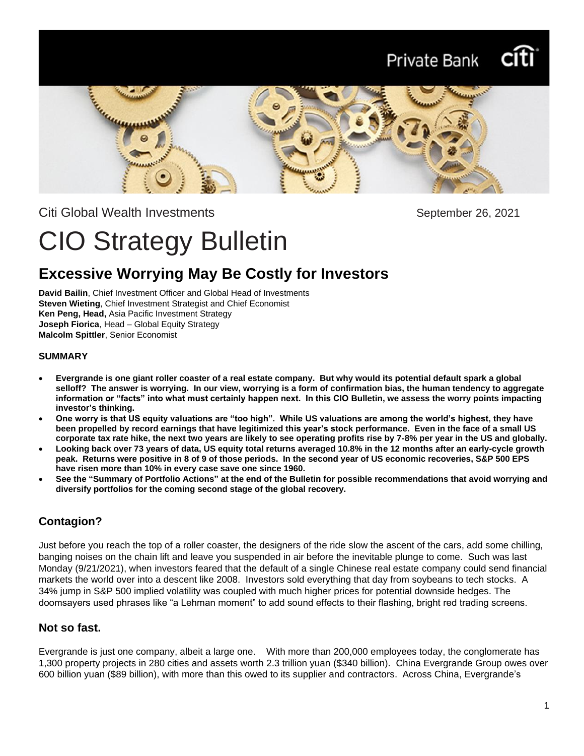# Private Bank



Citi Global Wealth Investments **September 26, 2021** 

# CIO Strategy Bulletin

# **Excessive Worrying May Be Costly for Investors**

**David Bailin**, Chief Investment Officer and Global Head of Investments **Steven Wieting**, Chief Investment Strategist and Chief Economist **Ken Peng, Head,** Asia Pacific Investment Strategy **Joseph Fiorica**, Head – Global Equity Strategy **Malcolm Spittler**, Senior Economist

#### **SUMMARY**

- **Evergrande is one giant roller coaster of a real estate company. But why would its potential default spark a global selloff? The answer is worrying. In our view, worrying is a form of confirmation bias, the human tendency to aggregate information or "facts" into what must certainly happen next. In this CIO Bulletin, we assess the worry points impacting investor's thinking.**
- **One worry is that US equity valuations are "too high". While US valuations are among the world's highest, they have been propelled by record earnings that have legitimized this year's stock performance. Even in the face of a small US corporate tax rate hike, the next two years are likely to see operating profits rise by 7-8% per year in the US and globally.**
- **Looking back over 73 years of data, US equity total returns averaged 10.8% in the 12 months after an early-cycle growth peak. Returns were positive in 8 of 9 of those periods. In the second year of US economic recoveries, S&P 500 EPS have risen more than 10% in every case save one since 1960.**
- **See the "Summary of Portfolio Actions" at the end of the Bulletin for possible recommendations that avoid worrying and diversify portfolios for the coming second stage of the global recovery.**

# **Contagion?**

Just before you reach the top of a roller coaster, the designers of the ride slow the ascent of the cars, add some chilling, banging noises on the chain lift and leave you suspended in air before the inevitable plunge to come. Such was last Monday (9/21/2021), when investors feared that the default of a single Chinese real estate company could send financial markets the world over into a descent like 2008. Investors sold everything that day from soybeans to tech stocks. A 34% jump in S&P 500 implied volatility was coupled with much higher prices for potential downside hedges. The doomsayers used phrases like "a Lehman moment" to add sound effects to their flashing, bright red trading screens.

## **Not so fast.**

Evergrande is just one company, albeit a large one. With more than 200,000 employees today, the conglomerate has 1,300 property projects in 280 cities and assets worth 2.3 trillion yuan (\$340 billion). China Evergrande Group owes over 600 billion yuan (\$89 billion), with more than this owed to its supplier and contractors. Across China, Evergrande's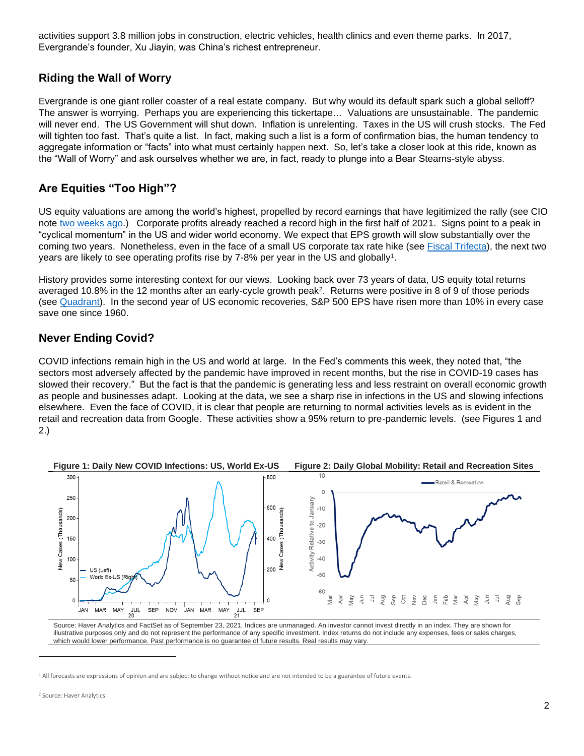activities support 3.8 million jobs in construction, electric vehicles, health clinics and even theme parks. In 2017, Evergrande's founder, Xu Jiayin, was China's richest entrepreneur.

#### **Riding the Wall of Worry**

Evergrande is one giant roller coaster of a real estate company. But why would its default spark such a global selloff? The answer is worrying. Perhaps you are experiencing this tickertape… Valuations are unsustainable. The pandemic will never end. The US Government will shut down. Inflation is unrelenting. Taxes in the US will crush stocks. The Fed will tighten too fast. That's quite a list. In fact, making such a list is a form of confirmation bias, the human tendency to aggregate information or "facts" into what must certainly happen next. So, let's take a closer look at this ride, known as the "Wall of Worry" and ask ourselves whether we are, in fact, ready to plunge into a Bear Stearns-style abyss.

## **Are Equities "Too High"?**

US equity valuations are among the world's highest, propelled by record earnings that have legitimized the rally (see CIO note [two weeks ago.](https://www.privatebank.citibank.com/ivc/docs/quadrant/CIOBulletin091221Final.pdf)) Corporate profits already reached a record high in the first half of 2021. Signs point to a peak in "cyclical momentum" in the US and wider world economy. We expect that EPS growth will slow substantially over the coming two years. Nonetheless, even in the face of a small US corporate tax rate hike (see [Fiscal Trifecta\)](https://www.privatebank.citibank.com/ivc/docs/quadrant/CIOBulletin09192021.pdf), the next two years are likely to see operating profits rise by 7-8% per year in the US and globally<sup>1</sup>.

History provides some interesting context for our views. Looking back over 73 years of data, US equity total returns averaged 10.8% in the 12 months after an early-cycle growth peak<sup>2</sup>. Returns were positive in 8 of 9 of those periods (see [Quadrant\)](https://www.privatebank.citibank.com/ivc/docs/quadrant/CPB_Quadrant_09242021.pdf). In the second year of US economic recoveries, S&P 500 EPS have risen more than 10% in every case save one since 1960.

#### **Never Ending Covid?**

COVID infections remain high in the US and world at large. In the Fed's comments this week, they noted that, "the sectors most adversely affected by the pandemic have improved in recent months, but the rise in COVID-19 cases has slowed their recovery." But the fact is that the pandemic is generating less and less restraint on overall economic growth as people and businesses adapt. Looking at the data, we see a sharp rise in infections in the US and slowing infections elsewhere. Even the face of COVID, it is clear that people are returning to normal activities levels as is evident in the retail and recreation data from Google. These activities show a 95% return to pre-pandemic levels. (see Figures 1 and 2.)



Source: Haver Analytics and FactSet as of September 23, 2021. Indices are unmanaged. An investor cannot invest directly in an index. They are shown for illustrative purposes only and do not represent the performance of any specific investment. Index returns do not include any expenses, fees or sales charges, which would lower performance. Past performance is no guarantee of future results. Real results may vary.

<sup>1</sup> All forecasts are expressions of opinion and are subject to change without notice and are not intended to be a guarantee of future events.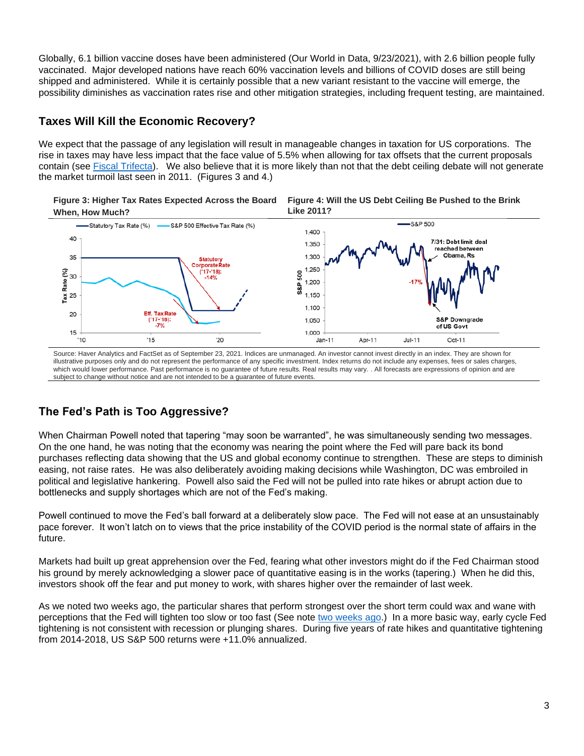Globally, 6.1 billion vaccine doses have been administered (Our World in Data, 9/23/2021), with 2.6 billion people fully vaccinated. Major developed nations have reach 60% vaccination levels and billions of COVID doses are still being shipped and administered. While it is certainly possible that a new variant resistant to the vaccine will emerge, the possibility diminishes as vaccination rates rise and other mitigation strategies, including frequent testing, are maintained.

#### **Taxes Will Kill the Economic Recovery?**

We expect that the passage of any legislation will result in manageable changes in taxation for US corporations. The rise in taxes may have less impact that the face value of 5.5% when allowing for tax offsets that the current proposals contain (see [Fiscal Trifecta\)](https://www.privatebank.citibank.com/ivc/docs/quadrant/CIOBulletin09192021.pdf). We also believe that it is more likely than not that the debt ceiling debate will not generate the market turmoil last seen in 2011. (Figures 3 and 4.)





Source: Haver Analytics and FactSet as of September 23, 2021. Indices are unmanaged. An investor cannot invest directly in an index. They are shown for illustrative purposes only and do not represent the performance of any specific investment. Index returns do not include any expenses, fees or sales charges, which would lower performance. Past performance is no guarantee of future results. Real results may vary. . All forecasts are expressions of opinion and are subject to change without notice and are not intended to be a guarantee of future events.

# **The Fed's Path is Too Aggressive?**

When Chairman Powell noted that tapering "may soon be warranted", he was simultaneously sending two messages. On the one hand, he was noting that the economy was nearing the point where the Fed will pare back its bond purchases reflecting data showing that the US and global economy continue to strengthen. These are steps to diminish easing, not raise rates. He was also deliberately avoiding making decisions while Washington, DC was embroiled in political and legislative hankering. Powell also said the Fed will not be pulled into rate hikes or abrupt action due to bottlenecks and supply shortages which are not of the Fed's making.

Powell continued to move the Fed's ball forward at a deliberately slow pace. The Fed will not ease at an unsustainably pace forever. It won't latch on to views that the price instability of the COVID period is the normal state of affairs in the future.

Markets had built up great apprehension over the Fed, fearing what other investors might do if the Fed Chairman stood his ground by merely acknowledging a slower pace of quantitative easing is in the works (tapering.) When he did this, investors shook off the fear and put money to work, with shares higher over the remainder of last week.

As we noted two weeks ago, the particular shares that perform strongest over the short term could wax and wane with perceptions that the Fed will tighten too slow or too fast (See note [two weeks ago.](https://www.privatebank.citibank.com/ivc/docs/quadrant/CIOBulletin091221Final.pdf)) In a more basic way, early cycle Fed tightening is not consistent with recession or plunging shares. During five years of rate hikes and quantitative tightening from 2014-2018, US S&P 500 returns were +11.0% annualized.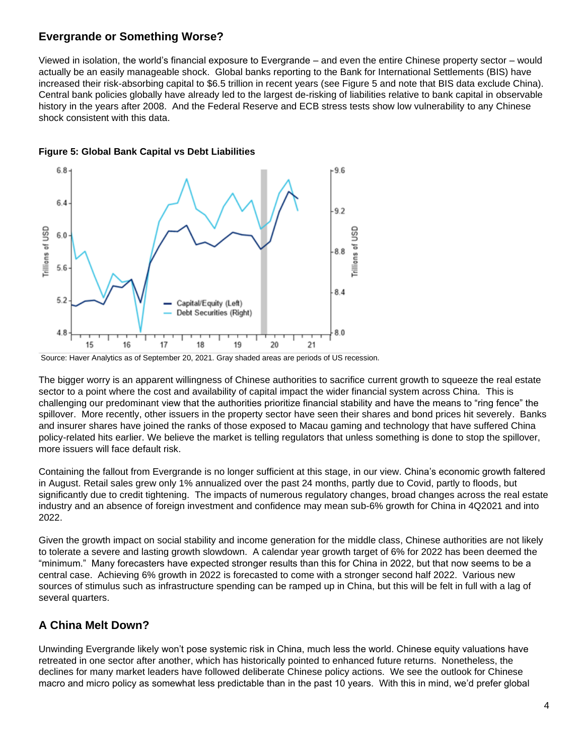#### **Evergrande or Something Worse?**

Viewed in isolation, the world's financial exposure to Evergrande – and even the entire Chinese property sector – would actually be an easily manageable shock. Global banks reporting to the Bank for International Settlements (BIS) have increased their risk-absorbing capital to \$6.5 trillion in recent years (see Figure 5 and note that BIS data exclude China). Central bank policies globally have already led to the largest de-risking of liabilities relative to bank capital in observable history in the years after 2008. And the Federal Reserve and ECB stress tests show low vulnerability to any Chinese shock consistent with this data.



**Figure 5: Global Bank Capital vs Debt Liabilities**

The bigger worry is an apparent willingness of Chinese authorities to sacrifice current growth to squeeze the real estate sector to a point where the cost and availability of capital impact the wider financial system across China. This is challenging our predominant view that the authorities prioritize financial stability and have the means to "ring fence" the spillover. More recently, other issuers in the property sector have seen their shares and bond prices hit severely. Banks and insurer shares have joined the ranks of those exposed to Macau gaming and technology that have suffered China policy-related hits earlier. We believe the market is telling regulators that unless something is done to stop the spillover, more issuers will face default risk.

Containing the fallout from Evergrande is no longer sufficient at this stage, in our view. China's economic growth faltered in August. Retail sales grew only 1% annualized over the past 24 months, partly due to Covid, partly to floods, but significantly due to credit tightening. The impacts of numerous regulatory changes, broad changes across the real estate industry and an absence of foreign investment and confidence may mean sub-6% growth for China in 4Q2021 and into 2022.

Given the growth impact on social stability and income generation for the middle class, Chinese authorities are not likely to tolerate a severe and lasting growth slowdown. A calendar year growth target of 6% for 2022 has been deemed the "minimum." Many forecasters have expected stronger results than this for China in 2022, but that now seems to be a central case. Achieving 6% growth in 2022 is forecasted to come with a stronger second half 2022. Various new sources of stimulus such as infrastructure spending can be ramped up in China, but this will be felt in full with a lag of several quarters.

## **A China Melt Down?**

Unwinding Evergrande likely won't pose systemic risk in China, much less the world. Chinese equity valuations have retreated in one sector after another, which has historically pointed to enhanced future returns. Nonetheless, the declines for many market leaders have followed deliberate Chinese policy actions. We see the outlook for Chinese macro and micro policy as somewhat less predictable than in the past 10 years. With this in mind, we'd prefer global

Source: Haver Analytics as of September 20, 2021. Gray shaded areas are periods of US recession.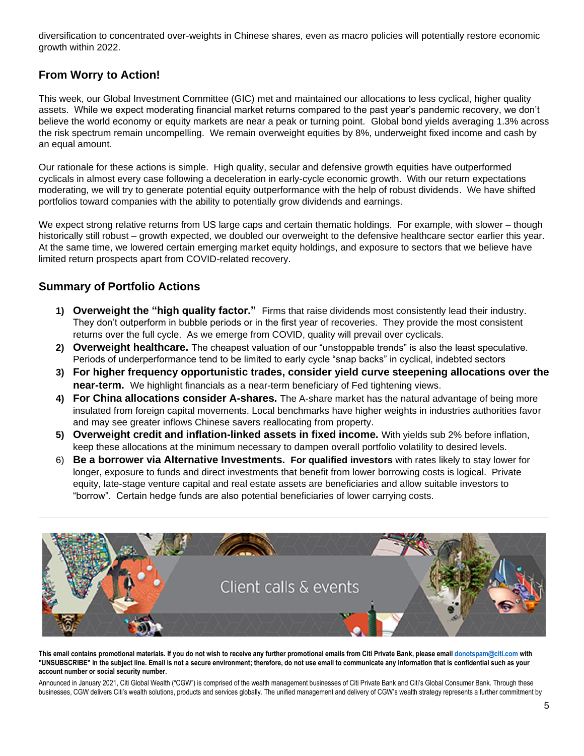diversification to concentrated over-weights in Chinese shares, even as macro policies will potentially restore economic growth within 2022.

#### **From Worry to Action!**

This week, our Global Investment Committee (GIC) met and maintained our allocations to less cyclical, higher quality assets. While we expect moderating financial market returns compared to the past year's pandemic recovery, we don't believe the world economy or equity markets are near a peak or turning point. Global bond yields averaging 1.3% across the risk spectrum remain uncompelling. We remain overweight equities by 8%, underweight fixed income and cash by an equal amount.

Our rationale for these actions is simple. High quality, secular and defensive growth equities have outperformed cyclicals in almost every case following a deceleration in early-cycle economic growth. With our return expectations moderating, we will try to generate potential equity outperformance with the help of robust dividends. We have shifted portfolios toward companies with the ability to potentially grow dividends and earnings.

We expect strong relative returns from US large caps and certain thematic holdings. For example, with slower – though historically still robust – growth expected, we doubled our overweight to the defensive healthcare sector earlier this year. At the same time, we lowered certain emerging market equity holdings, and exposure to sectors that we believe have limited return prospects apart from COVID-related recovery.

#### **Summary of Portfolio Actions**

- **1) Overweight the "high quality factor."** Firms that raise dividends most consistently lead their industry. They don't outperform in bubble periods or in the first year of recoveries. They provide the most consistent returns over the full cycle. As we emerge from COVID, quality will prevail over cyclicals.
- **2) Overweight healthcare.** The cheapest valuation of our "unstoppable trends" is also the least speculative. Periods of underperformance tend to be limited to early cycle "snap backs" in cyclical, indebted sectors
- **3) For higher frequency opportunistic trades, consider yield curve steepening allocations over the near-term.** We highlight financials as a near-term beneficiary of Fed tightening views.
- **4) For China allocations consider A-shares.** The A-share market has the natural advantage of being more insulated from foreign capital movements. Local benchmarks have higher weights in industries authorities favor and may see greater inflows Chinese savers reallocating from property.
- **5) Overweight credit and inflation-linked assets in fixed income.** With yields sub 2% before inflation, keep these allocations at the minimum necessary to dampen overall portfolio volatility to desired levels.
- 6) **Be a borrower via Alternative Investments. For qualified investors** with rates likely to stay lower for longer, exposure to funds and direct investments that benefit from lower borrowing costs is logical. Private equity, late-stage venture capital and real estate assets are beneficiaries and allow suitable investors to "borrow". Certain hedge funds are also potential beneficiaries of lower carrying costs.



**This email contains promotional materials. If you do not wish to receive any further promotional emails from Citi Private Bank, please emai[l donotspam@citi.com](mailto:donotspam@citi.com) with "UNSUBSCRIBE" in the subject line. Email is not a secure environment; therefore, do not use email to communicate any information that is confidential such as your account number or social security number.**

Announced in January 2021, Citi Global Wealth ("CGW") is comprised of the wealth management businesses of Citi Private Bank and Citi's Global Consumer Bank. Through these businesses, CGW delivers Citi's wealth solutions, products and services globally. The unified management and delivery of CGW's wealth strategy represents a further commitment by